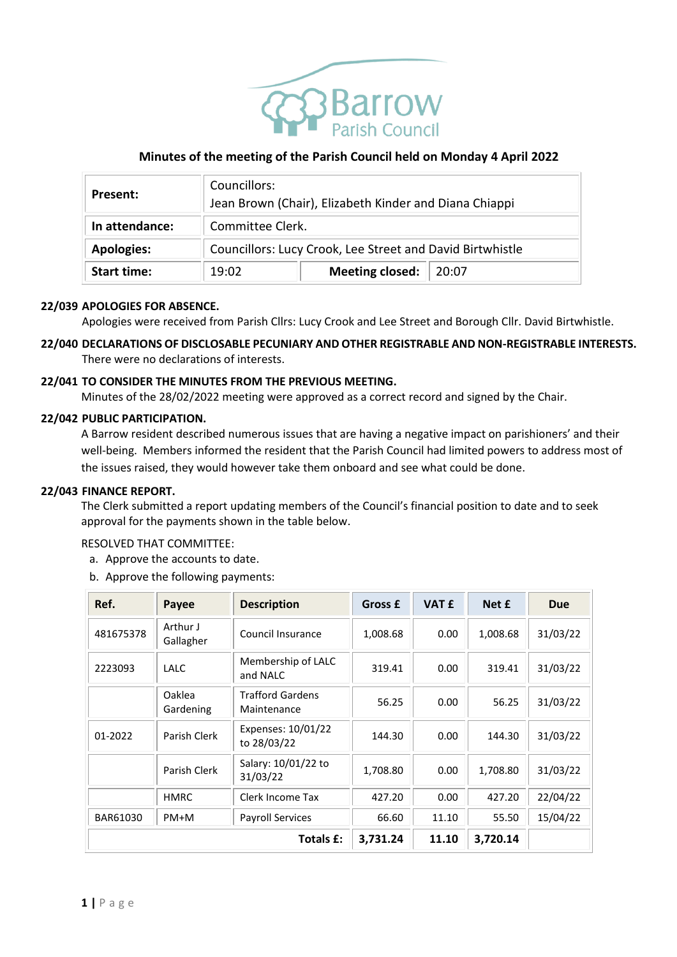

# **Minutes of the meeting of the Parish Council held on Monday 4 April 2022**

| Present:           | Councillors:<br>Jean Brown (Chair), Elizabeth Kinder and Diana Chiappi |                                 |  |  |  |
|--------------------|------------------------------------------------------------------------|---------------------------------|--|--|--|
| In attendance:     | Committee Clerk.                                                       |                                 |  |  |  |
| <b>Apologies:</b>  | Councillors: Lucy Crook, Lee Street and David Birtwhistle              |                                 |  |  |  |
| <b>Start time:</b> | 19:02                                                                  | <b>Meeting closed:</b><br>20:07 |  |  |  |

## **22/039 APOLOGIES FOR ABSENCE.**

Apologies were received from Parish Cllrs: Lucy Crook and Lee Street and Borough Cllr. David Birtwhistle.

# **22/040 DECLARATIONS OF DISCLOSABLE PECUNIARY AND OTHER REGISTRABLE AND NON-REGISTRABLE INTERESTS.** There were no declarations of interests.

## **22/041 TO CONSIDER THE MINUTES FROM THE PREVIOUS MEETING.**

Minutes of the 28/02/2022 meeting were approved as a correct record and signed by the Chair.

## **22/042 PUBLIC PARTICIPATION.**

A Barrow resident described numerous issues that are having a negative impact on parishioners' and their well-being. Members informed the resident that the Parish Council had limited powers to address most of the issues raised, they would however take them onboard and see what could be done.

#### **22/043 FINANCE REPORT.**

The Clerk submitted a report updating members of the Council's financial position to date and to seek approval for the payments shown in the table below.

#### RESOLVED THAT COMMITTEE:

- a. Approve the accounts to date.
- b. Approve the following payments:

| Ref.      | Payee                 | <b>Description</b>                     | Gross £  | VAT £    | Net £    | <b>Due</b> |
|-----------|-----------------------|----------------------------------------|----------|----------|----------|------------|
| 481675378 | Arthur J<br>Gallagher | Council Insurance                      | 1,008.68 | 0.00     | 1,008.68 | 31/03/22   |
| 2223093   | <b>LALC</b>           | Membership of LALC<br>and NALC         | 319.41   | 0.00     | 319.41   | 31/03/22   |
|           | Oaklea<br>Gardening   | <b>Trafford Gardens</b><br>Maintenance | 56.25    | 0.00     | 56.25    | 31/03/22   |
| 01-2022   | Parish Clerk          | Expenses: 10/01/22<br>to 28/03/22      | 144.30   | 0.00     | 144.30   | 31/03/22   |
|           | Parish Clerk          | Salary: 10/01/22 to<br>31/03/22        | 1,708.80 | 0.00     | 1,708.80 | 31/03/22   |
|           | <b>HMRC</b>           | Clerk Income Tax                       | 427.20   | 0.00     | 427.20   | 22/04/22   |
| BAR61030  | $PM+M$                | <b>Payroll Services</b>                | 66.60    | 11.10    | 55.50    | 15/04/22   |
|           |                       | 3,731.24                               | 11.10    | 3,720.14 |          |            |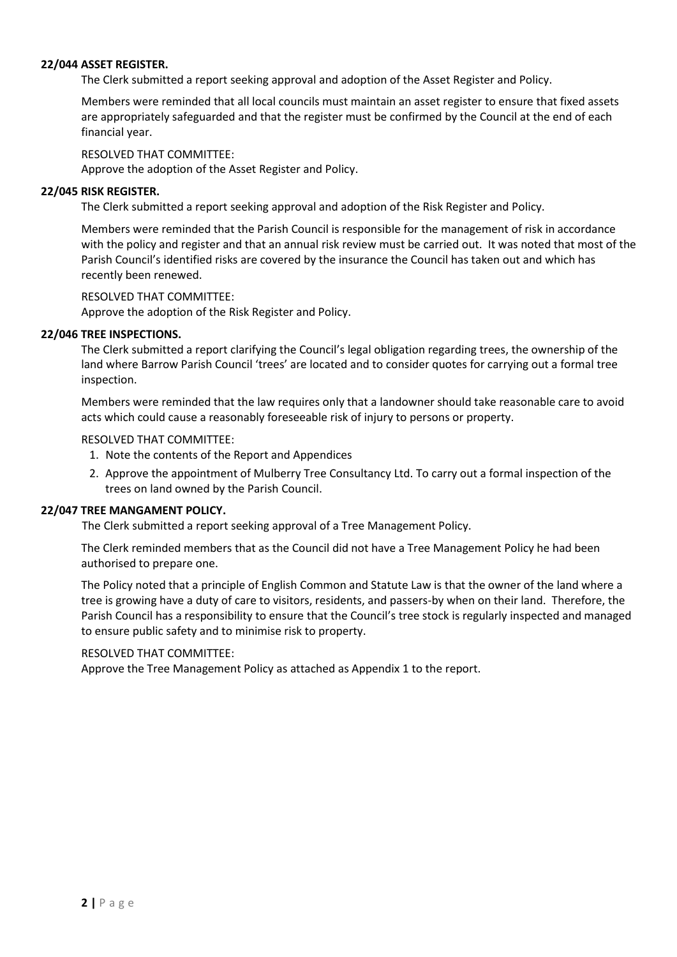## **22/044 ASSET REGISTER.**

The Clerk submitted a report seeking approval and adoption of the Asset Register and Policy.

Members were reminded that all local councils must maintain an asset register to ensure that fixed assets are appropriately safeguarded and that the register must be confirmed by the Council at the end of each financial year.

RESOLVED THAT COMMITTEE:

Approve the adoption of the Asset Register and Policy.

### **22/045 RISK REGISTER.**

The Clerk submitted a report seeking approval and adoption of the Risk Register and Policy.

Members were reminded that the Parish Council is responsible for the management of risk in accordance with the policy and register and that an annual risk review must be carried out. It was noted that most of the Parish Council's identified risks are covered by the insurance the Council has taken out and which has recently been renewed.

### RESOLVED THAT COMMITTEE:

Approve the adoption of the Risk Register and Policy.

### **22/046 TREE INSPECTIONS.**

The Clerk submitted a report clarifying the Council's legal obligation regarding trees, the ownership of the land where Barrow Parish Council 'trees' are located and to consider quotes for carrying out a formal tree inspection.

Members were reminded that the law requires only that a landowner should take reasonable care to avoid acts which could cause a reasonably foreseeable risk of injury to persons or property.

RESOLVED THAT COMMITTEE:

- 1. Note the contents of the Report and Appendices
- 2. Approve the appointment of Mulberry Tree Consultancy Ltd. To carry out a formal inspection of the trees on land owned by the Parish Council.

#### **22/047 TREE MANGAMENT POLICY.**

The Clerk submitted a report seeking approval of a Tree Management Policy.

The Clerk reminded members that as the Council did not have a Tree Management Policy he had been authorised to prepare one.

The Policy noted that a principle of English Common and Statute Law is that the owner of the land where a tree is growing have a duty of care to visitors, residents, and passers-by when on their land. Therefore, the Parish Council has a responsibility to ensure that the Council's tree stock is regularly inspected and managed to ensure public safety and to minimise risk to property.

#### RESOLVED THAT COMMITTEE:

Approve the Tree Management Policy as attached as Appendix 1 to the report.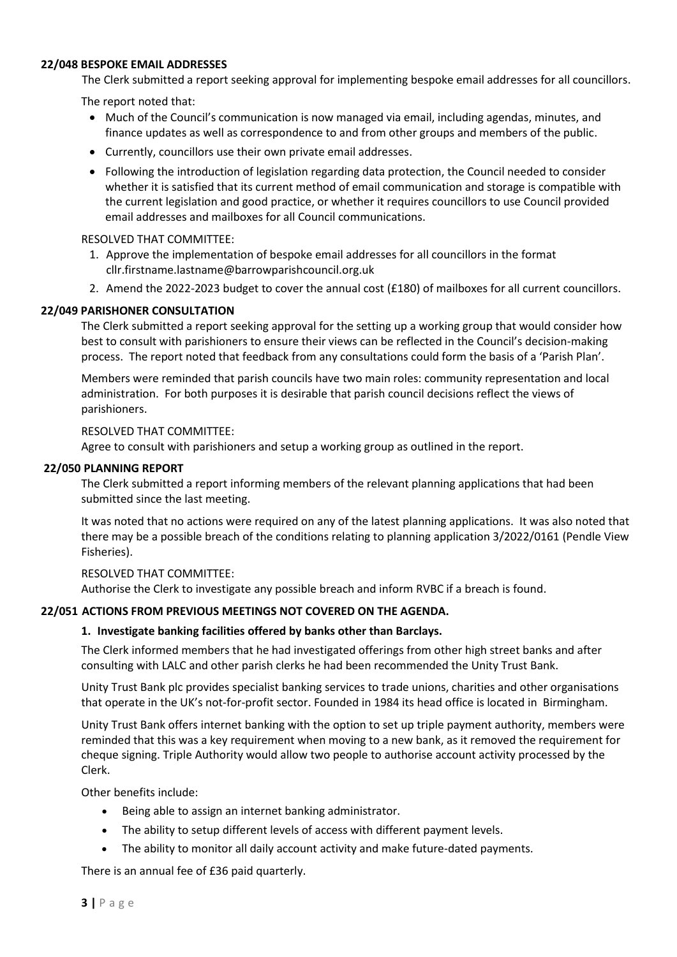## **22/048 BESPOKE EMAIL ADDRESSES**

The Clerk submitted a report seeking approval for implementing bespoke email addresses for all councillors.

The report noted that:

- Much of the Council's communication is now managed via email, including agendas, minutes, and finance updates as well as correspondence to and from other groups and members of the public.
- Currently, councillors use their own private email addresses.
- Following the introduction of legislation regarding data protection, the Council needed to consider whether it is satisfied that its current method of email communication and storage is compatible with the current legislation and good practice, or whether it requires councillors to use Council provided email addresses and mailboxes for all Council communications.

### RESOLVED THAT COMMITTEE:

- 1. Approve the implementation of bespoke email addresses for all councillors in the format cllr.firstname.lastname@barrowparishcouncil.org.uk
- 2. Amend the 2022-2023 budget to cover the annual cost (£180) of mailboxes for all current councillors.

### **22/049 PARISHONER CONSULTATION**

The Clerk submitted a report seeking approval for the setting up a working group that would consider how best to consult with parishioners to ensure their views can be reflected in the Council's decision-making process. The report noted that feedback from any consultations could form the basis of a 'Parish Plan'.

Members were reminded that parish councils have two main roles: community representation and local administration. For both purposes it is desirable that parish council decisions reflect the views of parishioners.

#### RESOLVED THAT COMMITTEE:

Agree to consult with parishioners and setup a working group as outlined in the report.

### **22/050 PLANNING REPORT**

The Clerk submitted a report informing members of the relevant planning applications that had been submitted since the last meeting.

It was noted that no actions were required on any of the latest planning applications. It was also noted that there may be a possible breach of the conditions relating to planning application 3/2022/0161 (Pendle View Fisheries).

#### RESOLVED THAT COMMITTEE:

Authorise the Clerk to investigate any possible breach and inform RVBC if a breach is found.

## **22/051 ACTIONS FROM PREVIOUS MEETINGS NOT COVERED ON THE AGENDA.**

#### **1. Investigate banking facilities offered by banks other than Barclays.**

The Clerk informed members that he had investigated offerings from other high street banks and after consulting with LALC and other parish clerks he had been recommended the Unity Trust Bank.

Unity Trust Bank plc provides specialist banking services to trade unions, charities and other organisations that operate in the UK's not-for-profit sector. Founded in 1984 its head office is located in Birmingham.

Unity Trust Bank offers internet banking with the option to set up triple payment authority, members were reminded that this was a key requirement when moving to a new bank, as it removed the requirement for cheque signing. Triple Authority would allow two people to authorise account activity processed by the Clerk.

Other benefits include:

- Being able to assign an internet banking administrator.
- The ability to setup different levels of access with different payment levels.
- The ability to monitor all daily account activity and make future-dated payments.

There is an annual fee of £36 paid quarterly.